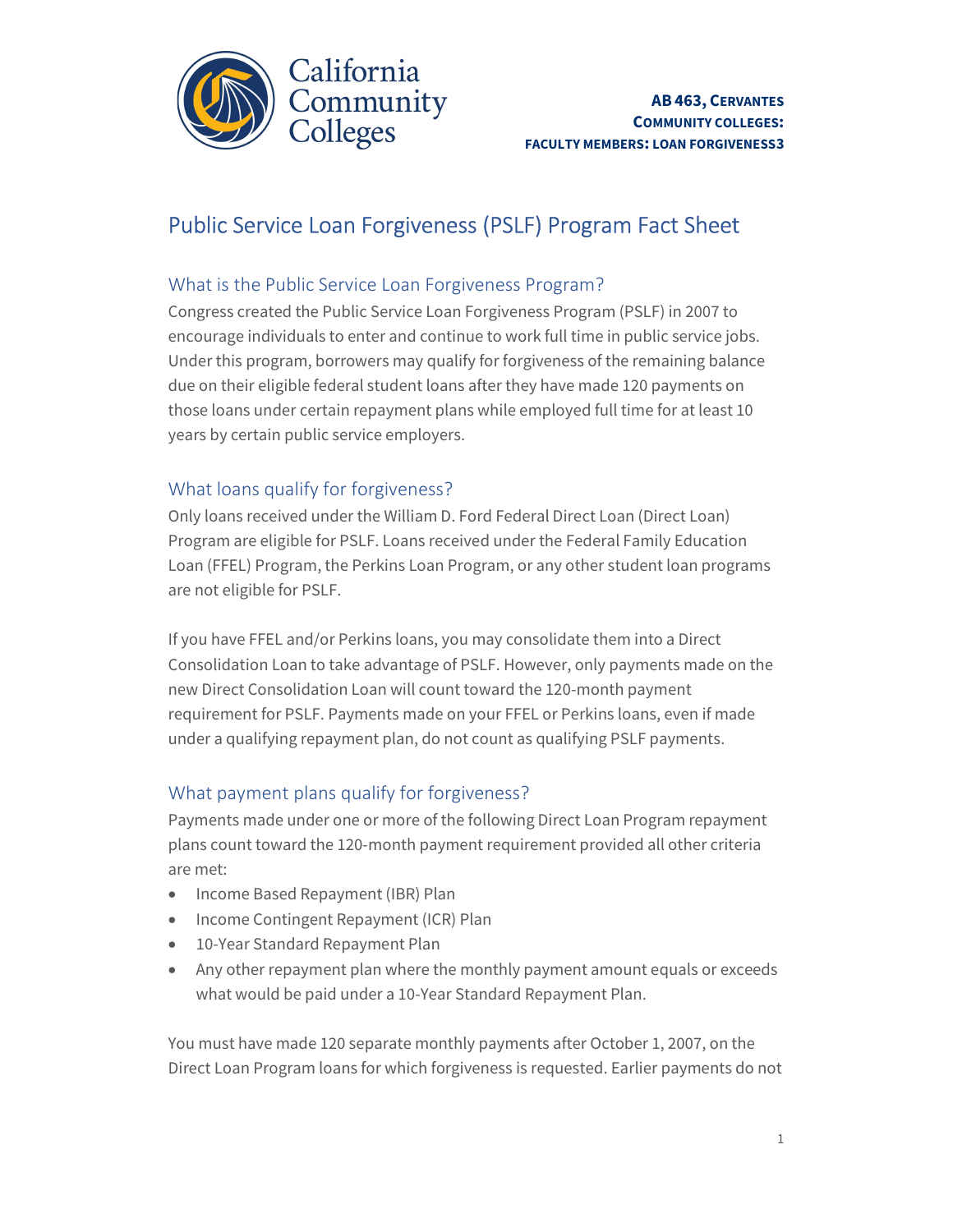

# Public Service Loan Forgiveness (PSLF) Program Fact Sheet

#### What is the Public Service Loan Forgiveness Program?

 Congress created the Public Service Loan Forgiveness Program (PSLF) in 2007 to encourage individuals to enter and continue to work full time in public service jobs. Under this program, borrowers may qualify for forgiveness of the remaining balance those loans under certain repayment plans while employed full time for at least 10 years by certain public service employers. due on their eligible federal student loans after they have made 120 payments on

#### What loans qualify for forgiveness?

 Only loans received under the William D. Ford Federal Direct Loan (Direct Loan) Program are eligible for PSLF. Loans received under the Federal Family Education Loan (FFEL) Program, the Perkins Loan Program, or any other student loan programs are not eligible for PSLF.

 If you have FFEL and/or Perkins loans, you may consolidate them into a Direct Consolidation Loan to take advantage of PSLF. However, only payments made on the new Direct Consolidation Loan will count toward the 120-month payment requirement for PSLF. Payments made on your FFEL or Perkins loans, even if made under a qualifying repayment plan, do not count as qualifying PSLF payments.

### What payment plans qualify for forgiveness?

 Payments made under one or more of the following Direct Loan Program repayment plans count toward the 120-month payment requirement provided all other criteria are met:

- Income Based Repayment (IBR) Plan
- Income Contingent Repayment (ICR) Plan
- 10-Year Standard Repayment Plan
- Any other repayment plan where the monthly payment amount equals or exceeds what would be paid under a 10-Year Standard Repayment Plan.

 Direct Loan Program loans for which forgiveness is requested. Earlier payments do not You must have made 120 separate monthly payments after October 1, 2007, on the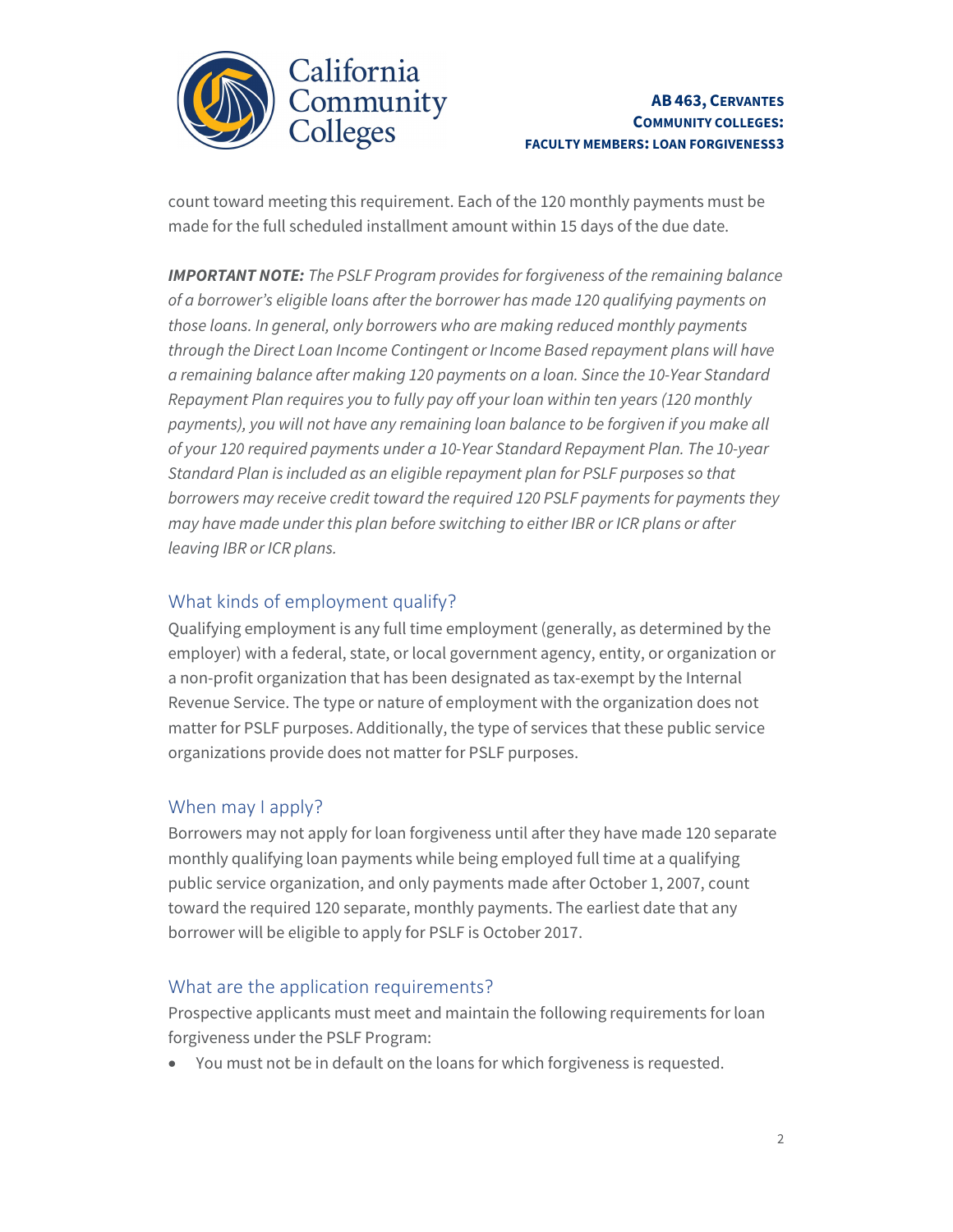

 count toward meeting this requirement. Each of the 120 monthly payments must be made for the full scheduled installment amount within 15 days of the due date.

Ì J .<br>.  $\overline{a}$ **IMPORTANT NOTE:** The PSLF Program provides for forgiveness of the remaining balance of a borrower's eligible loans after the borrower has made 120 qualifying payments on those loans. In general, only borrowers who are making reduced monthly payments through the Direct Loan Income Contingent or Income Based repayment plans will have a remaining balance after making 120 payments on a loan. Since the 10-Year Standard Repayment Plan requires you to fully pay off your loan within ten years (120 monthly payments), you will not have any remaining loan balance to be forgiven if you make all of your 120 required payments under a 10-Year Standard Repayment Plan. The 10-year Standard Plan is included as an eligible repayment plan for PSLF purposes so that borrowers may receive credit toward the required 120 PSLF payments for payments they may have made under this plan before switching to either IBR or ICR plans or after leaving IBR or ICR plans.

### What kinds of employment qualify?

 Qualifying employment is any full time employment (generally, as determined by the employer) with a federal, state, or local government agency, entity, or organization or a non-profit organization that has been designated as tax-exempt by the Internal Revenue Service. The type or nature of employment with the organization does not matter for PSLF purposes. Additionally, the type of services that these public service organizations provide does not matter for PSLF purposes.

## When may I apply?

 Borrowers may not apply for loan forgiveness until after they have made 120 separate monthly qualifying loan payments while being employed full time at a qualifying public service organization, and only payments made after October 1, 2007, count toward the required 120 separate, monthly payments. The earliest date that any borrower will be eligible to apply for PSLF is October 2017.

### What are the application requirements?

 Prospective applicants must meet and maintain the following requirements for loan forgiveness under the PSLF Program:

You must not be in default on the loans for which forgiveness is requested.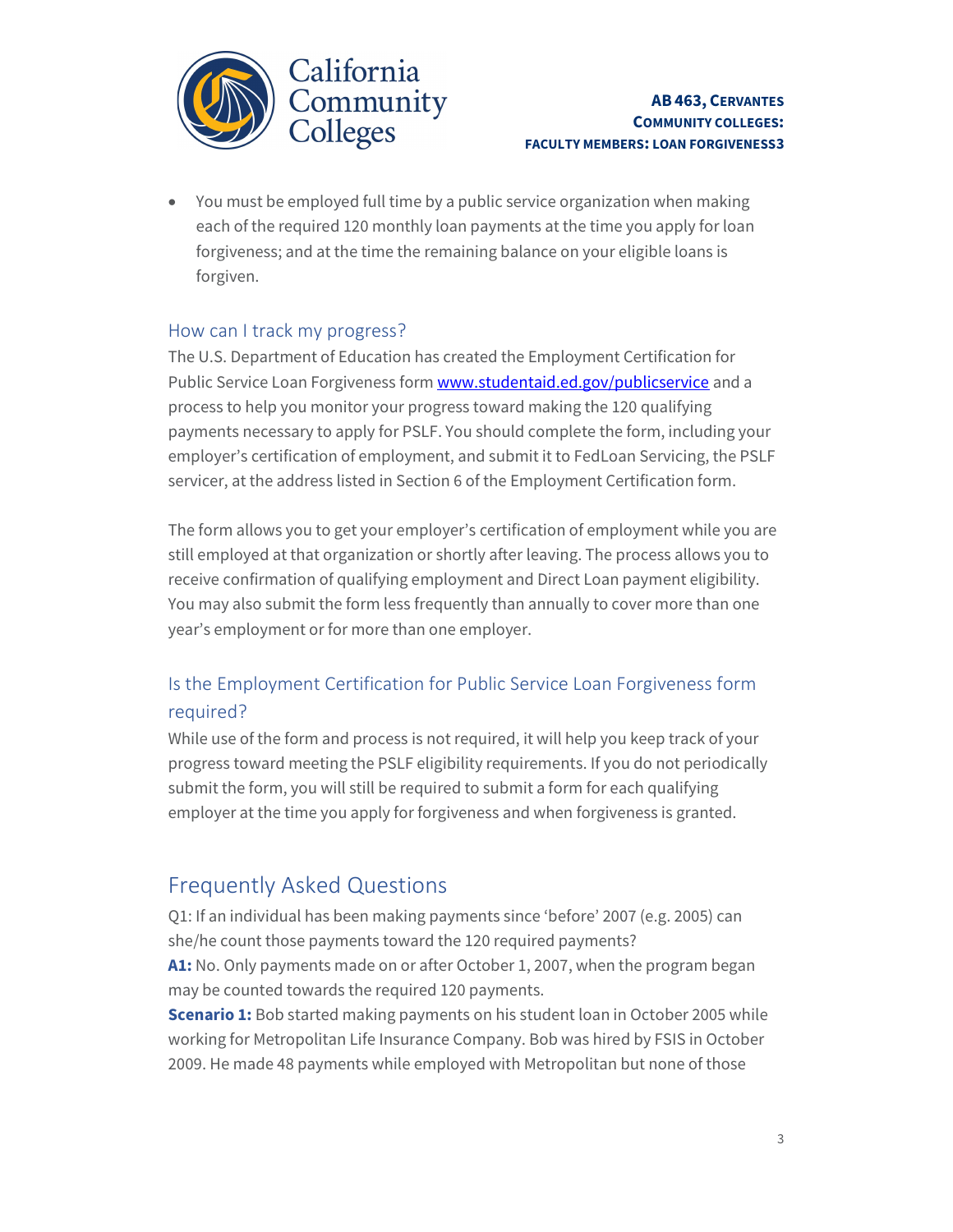

 You must be employed full time by a public service organization when making each of the required 120 monthly loan payments at the time you apply for loan forgiveness; and at the time the remaining balance on your eligible loans is forgiven.

#### How can I track my progress?

Public Service Loan Forgiveness form <www.studentaid.ed.gov/publicservice> and a process to help you monitor your progress toward making the 120 qualifying payments necessary to apply for PSLF. You should complete the form, including your employer's certification of employment, and submit it to FedLoan Servicing, the PSLF servicer, at the address listed in Section 6 of the Employment Certification form. The U.S. Department of Education has created the Employment Certification for

 The form allows you to get your employer's certification of employment while you are still employed at that organization or shortly after leaving. The process allows you to receive confirmation of qualifying employment and Direct Loan payment eligibility. You may also submit the form less frequently than annually to cover more than one year's employment or for more than one employer.

# Is the Employment Certification for Public Service Loan Forgiveness form required?

 While use of the form and process is not required, it will help you keep track of your progress toward meeting the PSLF eligibility requirements. If you do not periodically submit the form, you will still be required to submit a form for each qualifying employer at the time you apply for forgiveness and when forgiveness is granted.

# Frequently Asked Questions

 she/he count those payments toward the 120 required payments? Q1: If an individual has been making payments since 'before' 2007 (e.g. 2005) can

**A1:** No. Only payments made on or after October 1, 2007, when the program began may be counted towards the required 120 payments.

**Scenario 1:** Bob started making payments on his student loan in October 2005 while working for Metropolitan Life Insurance Company. Bob was hired by FSIS in October 2009. He made 48 payments while employed with Metropolitan but none of those